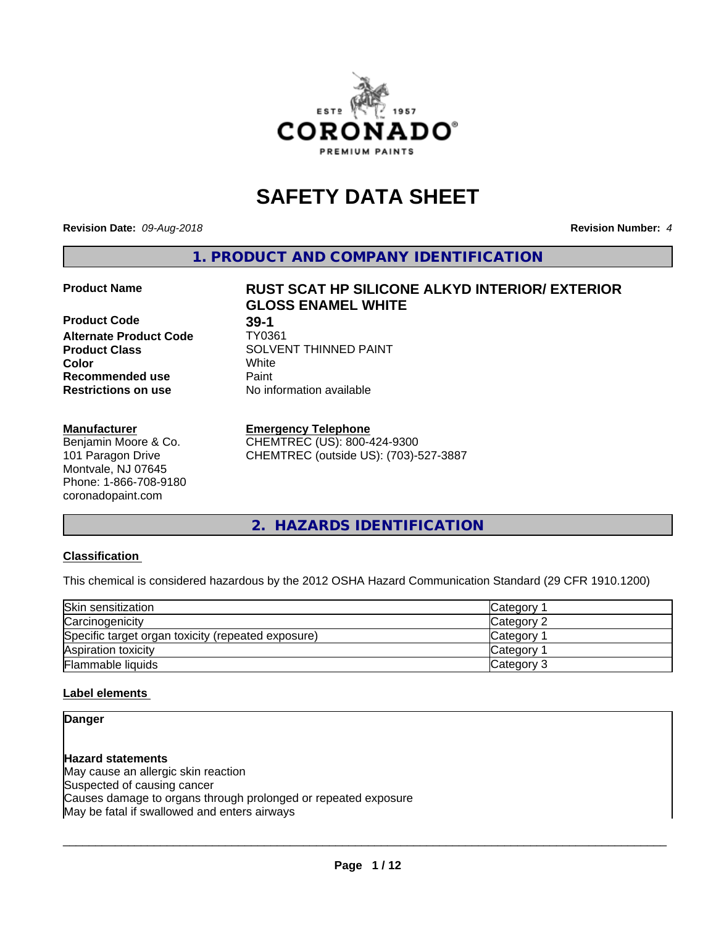

# **SAFETY DATA SHEET**

**Revision Date:** *09-Aug-2018* **Revision Number:** *4*

**1. PRODUCT AND COMPANY IDENTIFICATION**

## **Product Name RUST SCAT HP SILICONE ALKYD INTERIOR/ EXTERIOR**

**Product Code 39-1**<br> **Alternate Product Code** TY0361 **Alternate Product Code Recommended use Caint Restrictions on use** No information available

#### **Manufacturer**

Benjamin Moore & Co. 101 Paragon Drive Montvale, NJ 07645 Phone: 1-866-708-9180 coronadopaint.com

**GLOSS ENAMEL WHITE Product Class** SOLVENT THINNED PAINT<br>
Color **Color** White

#### **Emergency Telephone**

CHEMTREC (US): 800-424-9300 CHEMTREC (outside US): (703)-527-3887

**2. HAZARDS IDENTIFICATION**

#### **Classification**

This chemical is considered hazardous by the 2012 OSHA Hazard Communication Standard (29 CFR 1910.1200)

| Skin sensitization                                 | Category   |
|----------------------------------------------------|------------|
| Carcinogenicity                                    | Category 2 |
| Specific target organ toxicity (repeated exposure) | Category   |
| Aspiration toxicity                                | Category   |
| Flammable liquids                                  | Category 3 |

#### **Label elements**

## **Danger**

**Hazard statements** May cause an allergic skin reaction Suspected of causing cancer Causes damage to organs through prolonged or repeated exposure May be fatal if swallowed and enters airways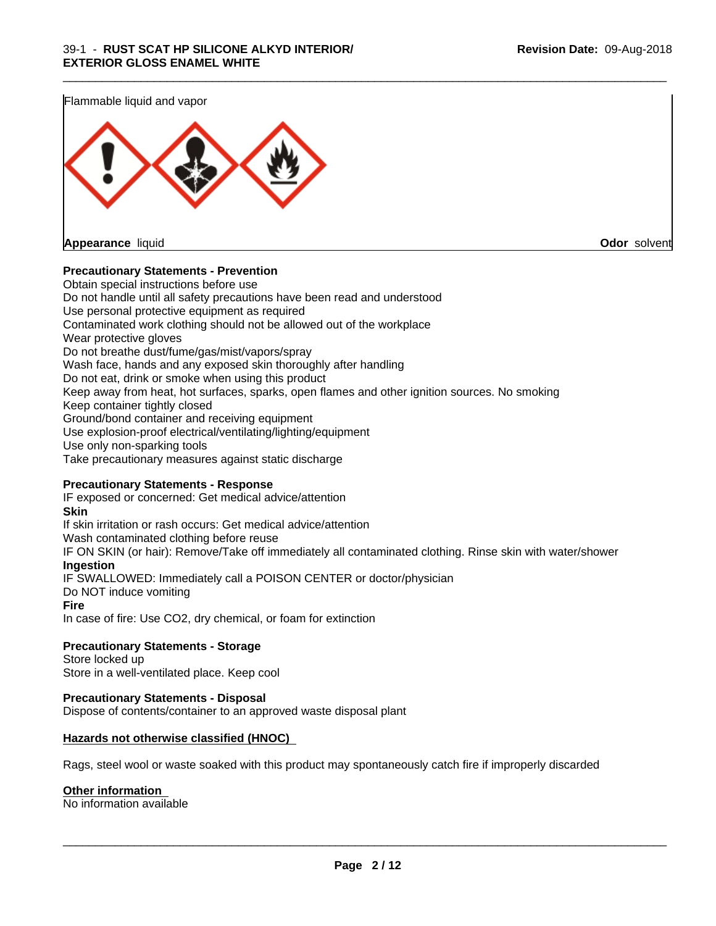Flammable liquid and vapor



#### **Precautionary Statements - Prevention**

Obtain special instructions before use Do not handle until all safety precautions have been read and understood Use personal protective equipment as required Contaminated work clothing should not be allowed out of the workplace Wear protective gloves Do not breathe dust/fume/gas/mist/vapors/spray Wash face, hands and any exposed skin thoroughly after handling Do not eat, drink or smoke when using this product Keep away from heat, hot surfaces, sparks, open flames and other ignition sources. No smoking Keep container tightly closed Ground/bond container and receiving equipment Use explosion-proof electrical/ventilating/lighting/equipment Use only non-sparking tools Take precautionary measures against static discharge

\_\_\_\_\_\_\_\_\_\_\_\_\_\_\_\_\_\_\_\_\_\_\_\_\_\_\_\_\_\_\_\_\_\_\_\_\_\_\_\_\_\_\_\_\_\_\_\_\_\_\_\_\_\_\_\_\_\_\_\_\_\_\_\_\_\_\_\_\_\_\_\_\_\_\_\_\_\_\_\_\_\_\_\_\_\_\_\_\_\_\_\_\_

#### **Precautionary Statements - Response**

IF exposed or concerned: Get medical advice/attention **Skin** If skin irritation or rash occurs: Get medical advice/attention Wash contaminated clothing before reuse IF ON SKIN (or hair): Remove/Take off immediately all contaminated clothing. Rinse skin with water/shower **Ingestion** IF SWALLOWED: Immediately call a POISON CENTER or doctor/physician Do NOT induce vomiting **Fire** In case of fire: Use CO2, dry chemical, or foam for extinction

#### **Precautionary Statements - Storage**

Store locked up Store in a well-ventilated place. Keep cool

#### **Precautionary Statements - Disposal**

Dispose of contents/container to an approved waste disposal plant

#### **Hazards not otherwise classified (HNOC)**

Rags, steel wool or waste soaked with this product may spontaneously catch fire if improperly discarded

#### **Other information**

No information available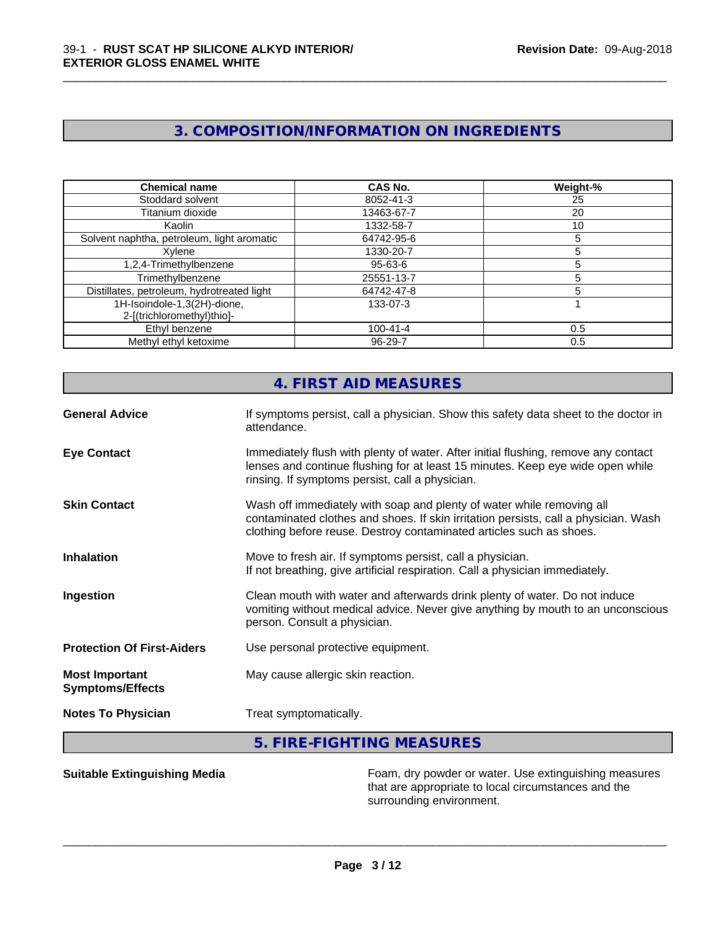## **3. COMPOSITION/INFORMATION ON INGREDIENTS**

\_\_\_\_\_\_\_\_\_\_\_\_\_\_\_\_\_\_\_\_\_\_\_\_\_\_\_\_\_\_\_\_\_\_\_\_\_\_\_\_\_\_\_\_\_\_\_\_\_\_\_\_\_\_\_\_\_\_\_\_\_\_\_\_\_\_\_\_\_\_\_\_\_\_\_\_\_\_\_\_\_\_\_\_\_\_\_\_\_\_\_\_\_

| <b>Chemical name</b>                                      | CAS No.        | Weight-% |
|-----------------------------------------------------------|----------------|----------|
| Stoddard solvent                                          | 8052-41-3      | 25       |
| Titanium dioxide                                          | 13463-67-7     | 20       |
| Kaolin                                                    | 1332-58-7      | 10       |
| Solvent naphtha, petroleum, light aromatic                | 64742-95-6     |          |
| Xvlene                                                    | 1330-20-7      |          |
| 1,2,4-Trimethylbenzene                                    | 95-63-6        |          |
| Trimethylbenzene                                          | 25551-13-7     |          |
| Distillates, petroleum, hydrotreated light                | 64742-47-8     |          |
| 1H-Isoindole-1,3(2H)-dione,<br>2-[(trichloromethyl)thio]- | 133-07-3       |          |
| Ethyl benzene                                             | $100 - 41 - 4$ | 0.5      |
| Methyl ethyl ketoxime                                     | $96 - 29 - 7$  | 0.5      |

|                                                  | 4. FIRST AID MEASURES                                                                                                                                                                                                               |
|--------------------------------------------------|-------------------------------------------------------------------------------------------------------------------------------------------------------------------------------------------------------------------------------------|
| <b>General Advice</b>                            | If symptoms persist, call a physician. Show this safety data sheet to the doctor in<br>attendance.                                                                                                                                  |
| <b>Eye Contact</b>                               | Immediately flush with plenty of water. After initial flushing, remove any contact<br>lenses and continue flushing for at least 15 minutes. Keep eye wide open while<br>rinsing. If symptoms persist, call a physician.             |
| <b>Skin Contact</b>                              | Wash off immediately with soap and plenty of water while removing all<br>contaminated clothes and shoes. If skin irritation persists, call a physician. Wash<br>clothing before reuse. Destroy contaminated articles such as shoes. |
| <b>Inhalation</b>                                | Move to fresh air. If symptoms persist, call a physician.<br>If not breathing, give artificial respiration. Call a physician immediately.                                                                                           |
| Ingestion                                        | Clean mouth with water and afterwards drink plenty of water. Do not induce<br>vomiting without medical advice. Never give anything by mouth to an unconscious<br>person. Consult a physician.                                       |
| <b>Protection Of First-Aiders</b>                | Use personal protective equipment.                                                                                                                                                                                                  |
| <b>Most Important</b><br><b>Symptoms/Effects</b> | May cause allergic skin reaction.                                                                                                                                                                                                   |
| <b>Notes To Physician</b>                        | Treat symptomatically.                                                                                                                                                                                                              |
|                                                  |                                                                                                                                                                                                                                     |

## **5. FIRE-FIGHTING MEASURES**

**Suitable Extinguishing Media** Foam, dry powder or water. Use extinguishing measures that are appropriate to local circumstances and the surrounding environment.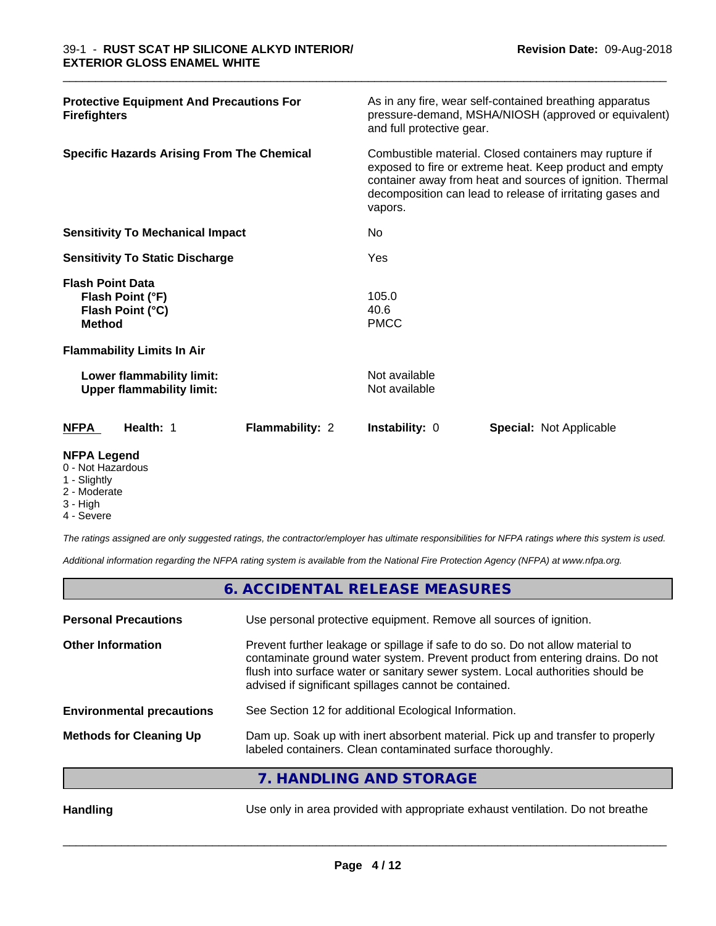| <b>Protective Equipment And Precautions For</b><br><b>Firefighters</b>           |                 | and full protective gear.                                                                                                                                                                                                                   | As in any fire, wear self-contained breathing apparatus<br>pressure-demand, MSHA/NIOSH (approved or equivalent) |
|----------------------------------------------------------------------------------|-----------------|---------------------------------------------------------------------------------------------------------------------------------------------------------------------------------------------------------------------------------------------|-----------------------------------------------------------------------------------------------------------------|
| <b>Specific Hazards Arising From The Chemical</b><br>vapors.                     |                 | Combustible material. Closed containers may rupture if<br>exposed to fire or extreme heat. Keep product and empty<br>container away from heat and sources of ignition. Thermal<br>decomposition can lead to release of irritating gases and |                                                                                                                 |
| <b>Sensitivity To Mechanical Impact</b>                                          |                 | N <sub>o</sub>                                                                                                                                                                                                                              |                                                                                                                 |
| <b>Sensitivity To Static Discharge</b>                                           |                 | Yes                                                                                                                                                                                                                                         |                                                                                                                 |
| <b>Flash Point Data</b><br>Flash Point (°F)<br>Flash Point (°C)<br><b>Method</b> |                 | 105.0<br>40.6<br><b>PMCC</b>                                                                                                                                                                                                                |                                                                                                                 |
| <b>Flammability Limits In Air</b>                                                |                 |                                                                                                                                                                                                                                             |                                                                                                                 |
| Lower flammability limit:<br><b>Upper flammability limit:</b>                    |                 | Not available<br>Not available                                                                                                                                                                                                              |                                                                                                                 |
| Health: 1<br><b>NFPA</b>                                                         | Flammability: 2 | <b>Instability: 0</b>                                                                                                                                                                                                                       | <b>Special: Not Applicable</b>                                                                                  |

\_\_\_\_\_\_\_\_\_\_\_\_\_\_\_\_\_\_\_\_\_\_\_\_\_\_\_\_\_\_\_\_\_\_\_\_\_\_\_\_\_\_\_\_\_\_\_\_\_\_\_\_\_\_\_\_\_\_\_\_\_\_\_\_\_\_\_\_\_\_\_\_\_\_\_\_\_\_\_\_\_\_\_\_\_\_\_\_\_\_\_\_\_

#### **NFPA Legend**

- 0 Not Hazardous
- 1 Slightly
- 2 Moderate
- 3 High
- 4 Severe

*The ratings assigned are only suggested ratings, the contractor/employer has ultimate responsibilities for NFPA ratings where this system is used.*

*Additional information regarding the NFPA rating system is available from the National Fire Protection Agency (NFPA) at www.nfpa.org.*

## **6. ACCIDENTAL RELEASE MEASURES**

| <b>Personal Precautions</b>      | Use personal protective equipment. Remove all sources of ignition.                                                                                                                                                                                                                                         |
|----------------------------------|------------------------------------------------------------------------------------------------------------------------------------------------------------------------------------------------------------------------------------------------------------------------------------------------------------|
| <b>Other Information</b>         | Prevent further leakage or spillage if safe to do so. Do not allow material to<br>contaminate ground water system. Prevent product from entering drains. Do not<br>flush into surface water or sanitary sewer system. Local authorities should be<br>advised if significant spillages cannot be contained. |
| <b>Environmental precautions</b> | See Section 12 for additional Ecological Information.                                                                                                                                                                                                                                                      |
| <b>Methods for Cleaning Up</b>   | Dam up. Soak up with inert absorbent material. Pick up and transfer to properly<br>labeled containers. Clean contaminated surface thoroughly.                                                                                                                                                              |
|                                  | 7. HANDLING AND STORAGE                                                                                                                                                                                                                                                                                    |
| <b>Handling</b>                  | Use only in area provided with appropriate exhaust ventilation. Do not breathe                                                                                                                                                                                                                             |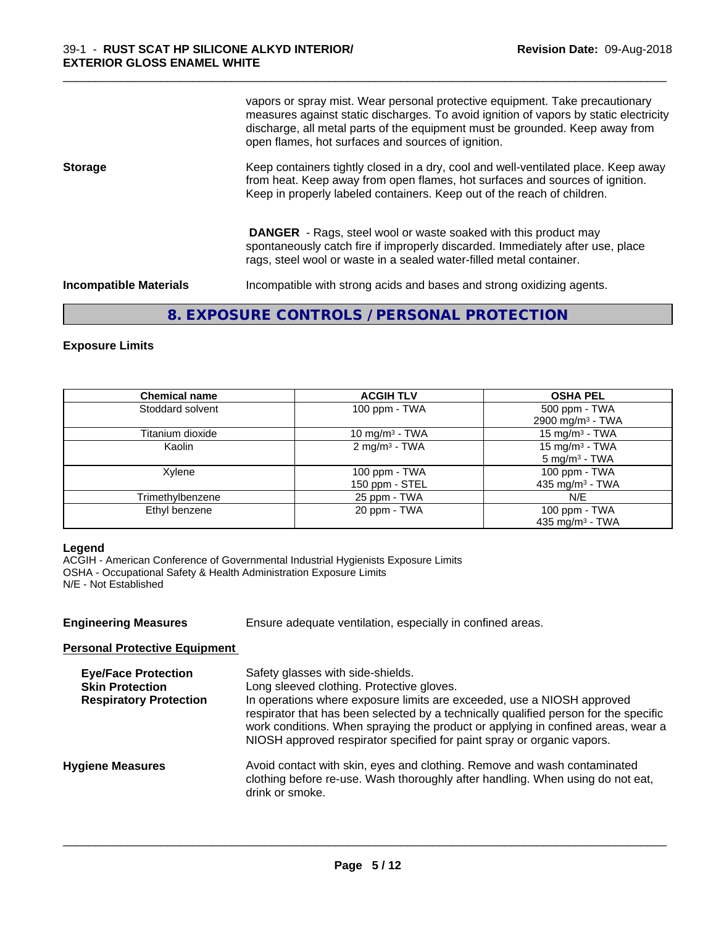vapors or spray mist. Wear personal protective equipment. Take precautionary measures against static discharges. To avoid ignition of vapors by static electricity discharge, all metal parts of the equipment must be grounded. Keep away from open flames, hot surfaces and sources of ignition.

\_\_\_\_\_\_\_\_\_\_\_\_\_\_\_\_\_\_\_\_\_\_\_\_\_\_\_\_\_\_\_\_\_\_\_\_\_\_\_\_\_\_\_\_\_\_\_\_\_\_\_\_\_\_\_\_\_\_\_\_\_\_\_\_\_\_\_\_\_\_\_\_\_\_\_\_\_\_\_\_\_\_\_\_\_\_\_\_\_\_\_\_\_

**Storage** Keep containers tightly closed in a dry, cool and well-ventilated place. Keep away from heat. Keep away from open flames, hot surfaces and sources of ignition. Keep in properly labeled containers. Keep out of the reach of children.

> **DANGER** - Rags, steel wool or waste soaked with this product may spontaneously catch fire if improperly discarded. Immediately after use, place rags, steel wool or waste in a sealed water-filled metal container.

**Incompatible Materials Incompatible with strong acids and bases and strong oxidizing agents.** 

## **8. EXPOSURE CONTROLS / PERSONAL PROTECTION**

#### **Exposure Limits**

| <b>Chemical name</b> | <b>ACGIH TLV</b>                | <b>OSHA PEL</b>                                        |
|----------------------|---------------------------------|--------------------------------------------------------|
| Stoddard solvent     | 100 ppm - TWA                   | 500 ppm - TWA<br>2900 mg/m <sup>3</sup> - TWA          |
| Titanium dioxide     | 10 mg/m <sup>3</sup> - TWA      | 15 mg/m <sup>3</sup> - TWA                             |
| Kaolin               | 2 mg/m <sup>3</sup> - TWA       | 15 mg/m <sup>3</sup> - TWA<br>$5 \text{ mg/m}^3$ - TWA |
| Xylene               | 100 ppm - TWA<br>150 ppm - STEL | 100 ppm - TWA<br>435 mg/m <sup>3</sup> - TWA           |
| Trimethylbenzene     | 25 ppm - TWA                    | N/E                                                    |
| Ethyl benzene        | 20 ppm - TWA                    | 100 ppm - TWA<br>435 mg/m <sup>3</sup> - TWA           |

#### **Legend**

ACGIH - American Conference of Governmental Industrial Hygienists Exposure Limits OSHA - Occupational Safety & Health Administration Exposure Limits N/E - Not Established

| <b>Engineering Measures</b>                                                           | Ensure adequate ventilation, especially in confined areas.                                                                                                                                                                                                                                                                                                                                                     |
|---------------------------------------------------------------------------------------|----------------------------------------------------------------------------------------------------------------------------------------------------------------------------------------------------------------------------------------------------------------------------------------------------------------------------------------------------------------------------------------------------------------|
| <b>Personal Protective Equipment</b>                                                  |                                                                                                                                                                                                                                                                                                                                                                                                                |
| <b>Eye/Face Protection</b><br><b>Skin Protection</b><br><b>Respiratory Protection</b> | Safety glasses with side-shields.<br>Long sleeved clothing. Protective gloves.<br>In operations where exposure limits are exceeded, use a NIOSH approved<br>respirator that has been selected by a technically qualified person for the specific<br>work conditions. When spraying the product or applying in confined areas, wear a<br>NIOSH approved respirator specified for paint spray or organic vapors. |
| <b>Hygiene Measures</b>                                                               | Avoid contact with skin, eyes and clothing. Remove and wash contaminated<br>clothing before re-use. Wash thoroughly after handling. When using do not eat,<br>drink or smoke.                                                                                                                                                                                                                                  |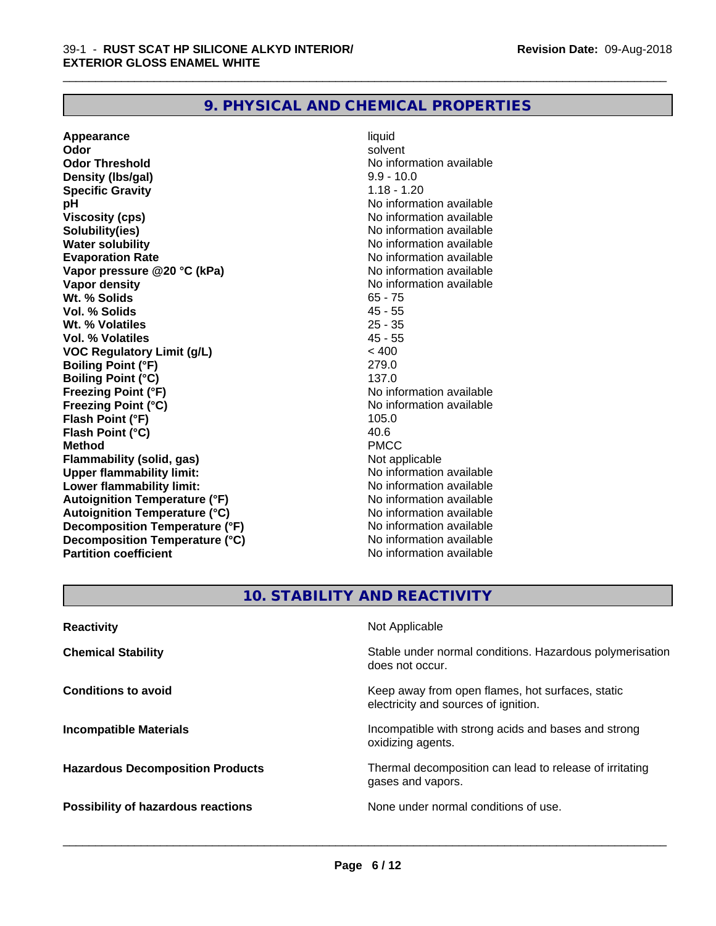## **9. PHYSICAL AND CHEMICAL PROPERTIES**

**Appearance** liquid **Odor** solvent **Odor Threshold** No information available **Density (lbs/gal)** 9.9 - 10.0 **Specific Gravity** 1.18 - 1.20 **pH** No information available **Viscosity (cps)** No information available **Solubility(ies)** No information available **Water solubility**<br> **Evaporation Rate**<br> **Evaporation Rate**<br> **Evaporation Rate Vapor** pressure @20 °C (kPa) **Vapor density**<br> **We Solids**<br>
We Solids
2019 **Wt. % Solids** 65 - 75 **Vol. % Solids Wt. % Volatiles** 25 - 35 **Vol. % Volatiles** 45 - 55 **VOC Regulatory Limit (g/L)** < 400 **Boiling Point (°F)** 279.0 **Boiling Point (°C)** 137.0 **Freezing Point (°F)**<br> **Freezing Point (°C)**<br> **Freezing Point (°C)**<br> **Reezing Point (°C)**<br> **Reezing Point (°C) Flash Point (°F) Flash Point (°C)** 40.6 **Method** PMCC **Flammability (solid, gas)** Not applicable **Upper flammability limit:** No information available **Lower flammability limit:** No information available **Autoignition Temperature (°F)** No information available **Autoignition Temperature (°C)** No information available **Decomposition Temperature (°F)** No information available **Decomposition Temperature (°C)** No information available **Partition coefficient Contract Community No information available** 

No information available<br>No information available **No information available**<br>105.0

\_\_\_\_\_\_\_\_\_\_\_\_\_\_\_\_\_\_\_\_\_\_\_\_\_\_\_\_\_\_\_\_\_\_\_\_\_\_\_\_\_\_\_\_\_\_\_\_\_\_\_\_\_\_\_\_\_\_\_\_\_\_\_\_\_\_\_\_\_\_\_\_\_\_\_\_\_\_\_\_\_\_\_\_\_\_\_\_\_\_\_\_\_

## **10. STABILITY AND REACTIVITY**

| Stable under normal conditions. Hazardous polymerisation<br><b>Chemical Stability</b><br>does not occur.<br>Keep away from open flames, hot surfaces, static<br><b>Conditions to avoid</b><br>electricity and sources of ignition.<br>Incompatible with strong acids and bases and strong<br><b>Incompatible Materials</b><br>oxidizing agents.<br>Thermal decomposition can lead to release of irritating<br><b>Hazardous Decomposition Products</b><br>gases and vapors.<br>None under normal conditions of use.<br><b>Possibility of hazardous reactions</b> | <b>Reactivity</b> | Not Applicable |
|-----------------------------------------------------------------------------------------------------------------------------------------------------------------------------------------------------------------------------------------------------------------------------------------------------------------------------------------------------------------------------------------------------------------------------------------------------------------------------------------------------------------------------------------------------------------|-------------------|----------------|
|                                                                                                                                                                                                                                                                                                                                                                                                                                                                                                                                                                 |                   |                |
|                                                                                                                                                                                                                                                                                                                                                                                                                                                                                                                                                                 |                   |                |
|                                                                                                                                                                                                                                                                                                                                                                                                                                                                                                                                                                 |                   |                |
|                                                                                                                                                                                                                                                                                                                                                                                                                                                                                                                                                                 |                   |                |
|                                                                                                                                                                                                                                                                                                                                                                                                                                                                                                                                                                 |                   |                |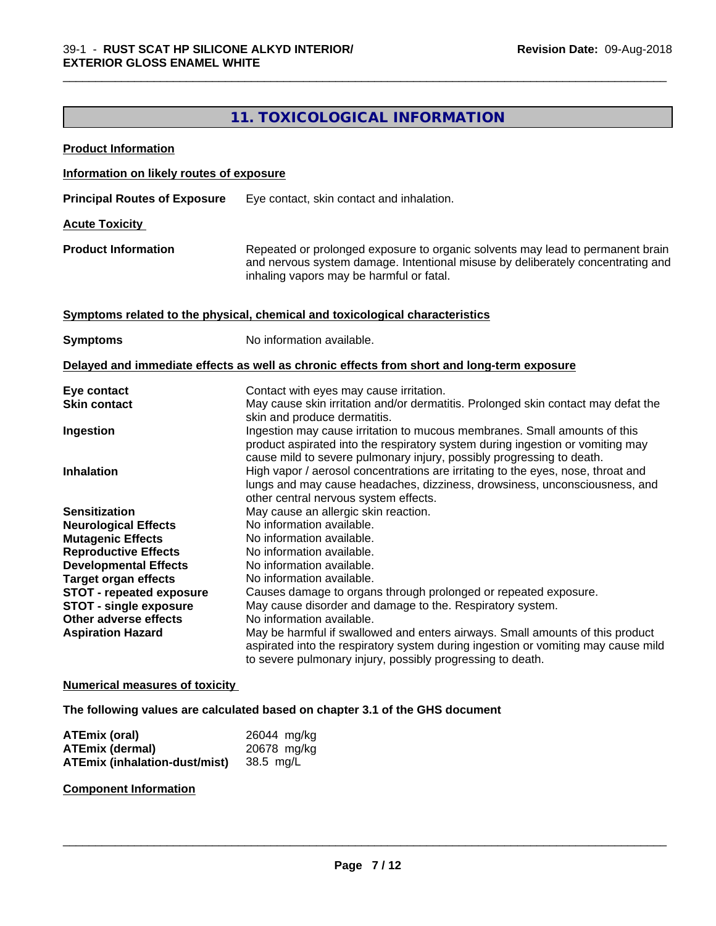## **11. TOXICOLOGICAL INFORMATION**

\_\_\_\_\_\_\_\_\_\_\_\_\_\_\_\_\_\_\_\_\_\_\_\_\_\_\_\_\_\_\_\_\_\_\_\_\_\_\_\_\_\_\_\_\_\_\_\_\_\_\_\_\_\_\_\_\_\_\_\_\_\_\_\_\_\_\_\_\_\_\_\_\_\_\_\_\_\_\_\_\_\_\_\_\_\_\_\_\_\_\_\_\_

| <b>Product Information</b>                                                                                                                                                                                                                                                                             |                                                                                                                                                                                                                                                                                                                                                                                                                                                                                                                                                                                                                                 |
|--------------------------------------------------------------------------------------------------------------------------------------------------------------------------------------------------------------------------------------------------------------------------------------------------------|---------------------------------------------------------------------------------------------------------------------------------------------------------------------------------------------------------------------------------------------------------------------------------------------------------------------------------------------------------------------------------------------------------------------------------------------------------------------------------------------------------------------------------------------------------------------------------------------------------------------------------|
| Information on likely routes of exposure                                                                                                                                                                                                                                                               |                                                                                                                                                                                                                                                                                                                                                                                                                                                                                                                                                                                                                                 |
| <b>Principal Routes of Exposure</b>                                                                                                                                                                                                                                                                    | Eye contact, skin contact and inhalation.                                                                                                                                                                                                                                                                                                                                                                                                                                                                                                                                                                                       |
| <b>Acute Toxicity</b>                                                                                                                                                                                                                                                                                  |                                                                                                                                                                                                                                                                                                                                                                                                                                                                                                                                                                                                                                 |
| <b>Product Information</b>                                                                                                                                                                                                                                                                             | Repeated or prolonged exposure to organic solvents may lead to permanent brain<br>and nervous system damage. Intentional misuse by deliberately concentrating and<br>inhaling vapors may be harmful or fatal.                                                                                                                                                                                                                                                                                                                                                                                                                   |
|                                                                                                                                                                                                                                                                                                        | Symptoms related to the physical, chemical and toxicological characteristics                                                                                                                                                                                                                                                                                                                                                                                                                                                                                                                                                    |
| <b>Symptoms</b>                                                                                                                                                                                                                                                                                        | No information available.                                                                                                                                                                                                                                                                                                                                                                                                                                                                                                                                                                                                       |
|                                                                                                                                                                                                                                                                                                        | Delayed and immediate effects as well as chronic effects from short and long-term exposure                                                                                                                                                                                                                                                                                                                                                                                                                                                                                                                                      |
| Eye contact<br><b>Skin contact</b>                                                                                                                                                                                                                                                                     | Contact with eyes may cause irritation.<br>May cause skin irritation and/or dermatitis. Prolonged skin contact may defat the<br>skin and produce dermatitis.                                                                                                                                                                                                                                                                                                                                                                                                                                                                    |
| Ingestion<br><b>Inhalation</b>                                                                                                                                                                                                                                                                         | Ingestion may cause irritation to mucous membranes. Small amounts of this<br>product aspirated into the respiratory system during ingestion or vomiting may<br>cause mild to severe pulmonary injury, possibly progressing to death.<br>High vapor / aerosol concentrations are irritating to the eyes, nose, throat and<br>lungs and may cause headaches, dizziness, drowsiness, unconsciousness, and                                                                                                                                                                                                                          |
| <b>Sensitization</b><br><b>Neurological Effects</b><br><b>Mutagenic Effects</b><br><b>Reproductive Effects</b><br><b>Developmental Effects</b><br><b>Target organ effects</b><br><b>STOT - repeated exposure</b><br><b>STOT - single exposure</b><br>Other adverse effects<br><b>Aspiration Hazard</b> | other central nervous system effects.<br>May cause an allergic skin reaction.<br>No information available.<br>No information available.<br>No information available.<br>No information available.<br>No information available.<br>Causes damage to organs through prolonged or repeated exposure.<br>May cause disorder and damage to the. Respiratory system.<br>No information available.<br>May be harmful if swallowed and enters airways. Small amounts of this product<br>aspirated into the respiratory system during ingestion or vomiting may cause mild<br>to severe pulmonary injury, possibly progressing to death. |

#### **Numerical measures of toxicity**

**The following values are calculated based on chapter 3.1 of the GHS document**

| ATEmix (oral)                           | 26044 mg/kg |
|-----------------------------------------|-------------|
| <b>ATEmix (dermal)</b>                  | 20678 mg/kg |
| ATEmix (inhalation-dust/mist) 38.5 mg/L |             |

**Component Information**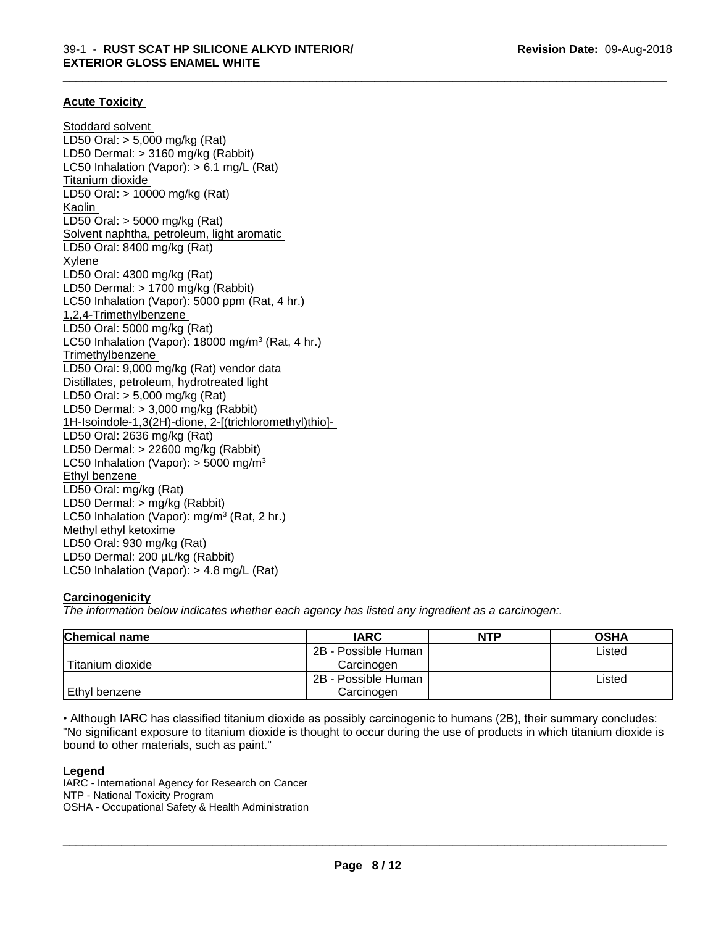\_\_\_\_\_\_\_\_\_\_\_\_\_\_\_\_\_\_\_\_\_\_\_\_\_\_\_\_\_\_\_\_\_\_\_\_\_\_\_\_\_\_\_\_\_\_\_\_\_\_\_\_\_\_\_\_\_\_\_\_\_\_\_\_\_\_\_\_\_\_\_\_\_\_\_\_\_\_\_\_\_\_\_\_\_\_\_\_\_\_\_\_\_

#### **Acute Toxicity**

Stoddard solvent LD50 Oral: > 5,000 mg/kg (Rat) LD50 Dermal: > 3160 mg/kg (Rabbit) LC50 Inhalation (Vapor): > 6.1 mg/L (Rat) Titanium dioxide LD50 Oral: > 10000 mg/kg (Rat) Kaolin LD50 Oral: > 5000 mg/kg (Rat) Solvent naphtha, petroleum, light aromatic LD50 Oral: 8400 mg/kg (Rat) Xylene LD50 Oral: 4300 mg/kg (Rat) LD50 Dermal: > 1700 mg/kg (Rabbit) LC50 Inhalation (Vapor): 5000 ppm (Rat, 4 hr.) 1,2,4-Trimethylbenzene LD50 Oral: 5000 mg/kg (Rat) LC50 Inhalation (Vapor): 18000 mg/m<sup>3</sup> (Rat, 4 hr.) **Trimethylbenzene** LD50 Oral: 9,000 mg/kg (Rat) vendor data Distillates, petroleum, hydrotreated light LD50 Oral: > 5,000 mg/kg (Rat) LD50 Dermal: > 3,000 mg/kg (Rabbit) 1H-Isoindole-1,3(2H)-dione, 2-[(trichloromethyl)thio]- LD50 Oral: 2636 mg/kg (Rat) LD50 Dermal: > 22600 mg/kg (Rabbit) LC50 Inhalation (Vapor):  $>$  5000 mg/m<sup>3</sup> Ethyl benzene LD50 Oral: mg/kg (Rat) LD50 Dermal: > mg/kg (Rabbit) LC50 Inhalation (Vapor): mg/m<sup>3</sup> (Rat, 2 hr.) Methyl ethyl ketoxime LD50 Oral: 930 mg/kg (Rat) LD50 Dermal: 200 µL/kg (Rabbit) LC50 Inhalation (Vapor): > 4.8 mg/L (Rat)

#### **Carcinogenicity**

*The information below indicateswhether each agency has listed any ingredient as a carcinogen:.*

| <b>Chemical name</b> | <b>IARC</b>         | <b>NTP</b> | <b>OSHA</b> |
|----------------------|---------------------|------------|-------------|
|                      | 2B - Possible Human |            | Listed      |
| Titanium dioxide     | Carcinoɑen          |            |             |
|                      | 2B - Possible Human |            | Listed      |
| Ethyl benzene        | Carcinoɑen          |            |             |

• Although IARC has classified titanium dioxide as possibly carcinogenic to humans (2B), their summary concludes: "No significant exposure to titanium dioxide is thought to occur during the use of products in which titanium dioxide is bound to other materials, such as paint."

#### **Legend**

IARC - International Agency for Research on Cancer NTP - National Toxicity Program OSHA - Occupational Safety & Health Administration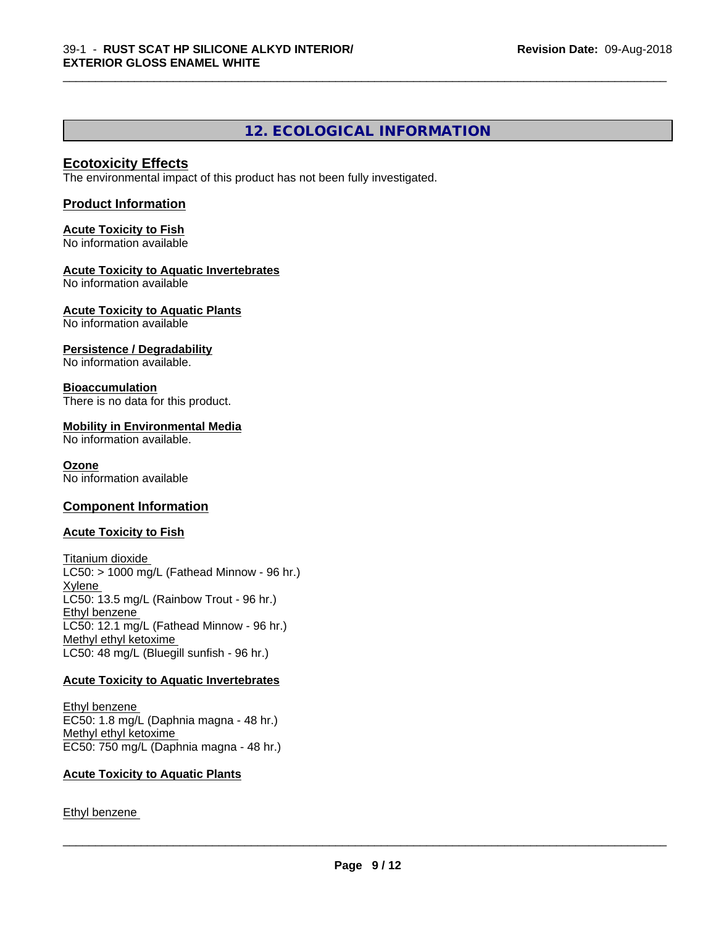## **12. ECOLOGICAL INFORMATION**

\_\_\_\_\_\_\_\_\_\_\_\_\_\_\_\_\_\_\_\_\_\_\_\_\_\_\_\_\_\_\_\_\_\_\_\_\_\_\_\_\_\_\_\_\_\_\_\_\_\_\_\_\_\_\_\_\_\_\_\_\_\_\_\_\_\_\_\_\_\_\_\_\_\_\_\_\_\_\_\_\_\_\_\_\_\_\_\_\_\_\_\_\_

#### **Ecotoxicity Effects**

The environmental impact of this product has not been fully investigated.

#### **Product Information**

## **Acute Toxicity to Fish**

No information available

#### **Acute Toxicity to Aquatic Invertebrates**

No information available

#### **Acute Toxicity to Aquatic Plants**

No information available

#### **Persistence / Degradability**

No information available.

#### **Bioaccumulation**

There is no data for this product.

#### **Mobility in Environmental Media**

No information available.

#### **Ozone**

No information available

#### **Component Information**

#### **Acute Toxicity to Fish**

Titanium dioxide  $LC50:$  > 1000 mg/L (Fathead Minnow - 96 hr.) Xylene LC50: 13.5 mg/L (Rainbow Trout - 96 hr.) Ethyl benzene LC50: 12.1 mg/L (Fathead Minnow - 96 hr.) Methyl ethyl ketoxime LC50: 48 mg/L (Bluegill sunfish - 96 hr.)

#### **Acute Toxicity to Aquatic Invertebrates**

Ethyl benzene EC50: 1.8 mg/L (Daphnia magna - 48 hr.) Methyl ethyl ketoxime EC50: 750 mg/L (Daphnia magna - 48 hr.)

#### **Acute Toxicity to Aquatic Plants**

Ethyl benzene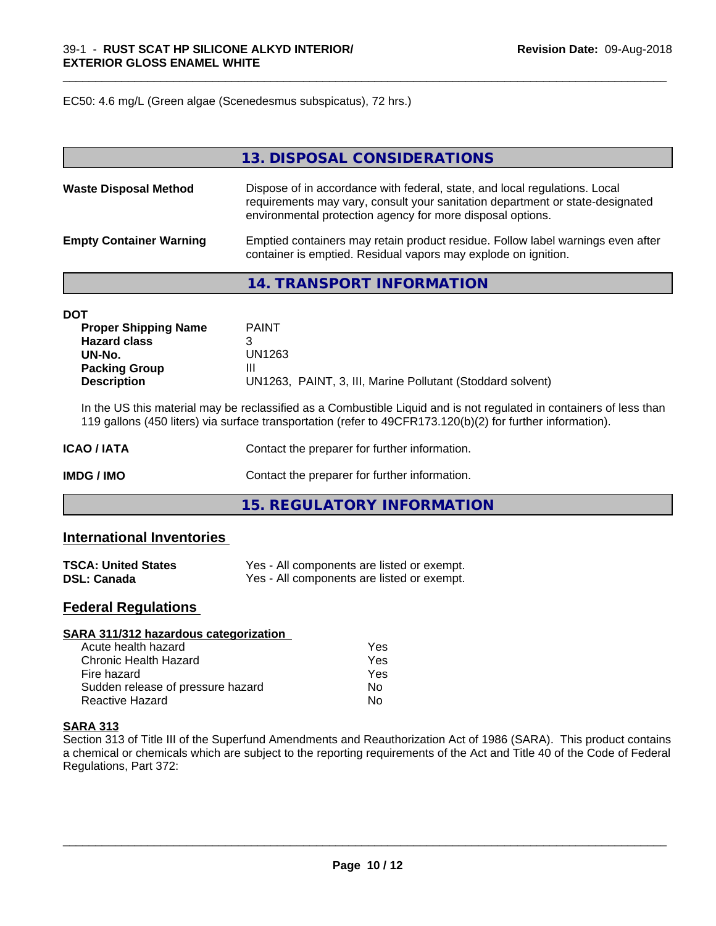EC50: 4.6 mg/L (Green algae (Scenedesmus subspicatus), 72 hrs.)

|                                | 13. DISPOSAL CONSIDERATIONS                                                                                                                                                                                               |
|--------------------------------|---------------------------------------------------------------------------------------------------------------------------------------------------------------------------------------------------------------------------|
| <b>Waste Disposal Method</b>   | Dispose of in accordance with federal, state, and local regulations. Local<br>requirements may vary, consult your sanitation department or state-designated<br>environmental protection agency for more disposal options. |
| <b>Empty Container Warning</b> | Emptied containers may retain product residue. Follow label warnings even after<br>container is emptied. Residual vapors may explode on ignition.                                                                         |

\_\_\_\_\_\_\_\_\_\_\_\_\_\_\_\_\_\_\_\_\_\_\_\_\_\_\_\_\_\_\_\_\_\_\_\_\_\_\_\_\_\_\_\_\_\_\_\_\_\_\_\_\_\_\_\_\_\_\_\_\_\_\_\_\_\_\_\_\_\_\_\_\_\_\_\_\_\_\_\_\_\_\_\_\_\_\_\_\_\_\_\_\_

## **14. TRANSPORT INFORMATION**

| <b>DOT</b>                  |                                                            |
|-----------------------------|------------------------------------------------------------|
| <b>Proper Shipping Name</b> | <b>PAINT</b>                                               |
| <b>Hazard class</b>         |                                                            |
| UN-No.                      | UN1263                                                     |
| <b>Packing Group</b>        | Ш                                                          |
| <b>Description</b>          | UN1263, PAINT, 3, III, Marine Pollutant (Stoddard solvent) |

In the US this material may be reclassified as a Combustible Liquid and is not regulated in containers of less than 119 gallons (450 liters) via surface transportation (refer to 49CFR173.120(b)(2) for further information).

| ICAO / IATA | Contact the preparer for further information. |  |
|-------------|-----------------------------------------------|--|
| IMDG / IMO  | Contact the preparer for further information. |  |

**15. REGULATORY INFORMATION**

#### **International Inventories**

| <b>TSCA: United States</b> | Yes - All components are listed or exempt. |
|----------------------------|--------------------------------------------|
| <b>DSL: Canada</b>         | Yes - All components are listed or exempt. |

#### **Federal Regulations**

| SARA 311/312 hazardous categorization |     |  |
|---------------------------------------|-----|--|
| Acute health hazard                   | Yes |  |
| Chronic Health Hazard                 | Yes |  |
| Fire hazard                           | Yes |  |
| Sudden release of pressure hazard     | Nο  |  |
| Reactive Hazard                       | No  |  |

#### **SARA 313**

Section 313 of Title III of the Superfund Amendments and Reauthorization Act of 1986 (SARA). This product contains a chemical or chemicals which are subject to the reporting requirements of the Act and Title 40 of the Code of Federal Regulations, Part 372: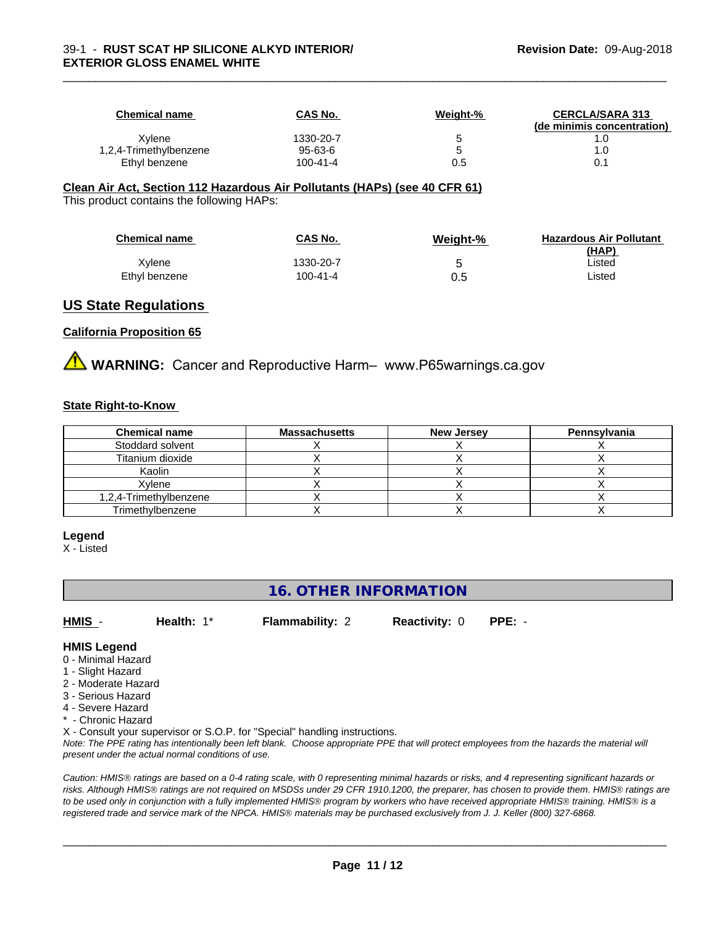| <b>Chemical name</b>   | <b>CAS No.</b> | Weight-% | <b>CERCLA/SARA 313</b><br>(de minimis concentration) |
|------------------------|----------------|----------|------------------------------------------------------|
| Xvlene                 | 1330-20-7      |          |                                                      |
| 1,2,4-Trimethylbenzene | 95-63-6        |          | 0. ا                                                 |
| Ethyl benzene          | $100 - 41 - 4$ | 0.5      | 0.1                                                  |

\_\_\_\_\_\_\_\_\_\_\_\_\_\_\_\_\_\_\_\_\_\_\_\_\_\_\_\_\_\_\_\_\_\_\_\_\_\_\_\_\_\_\_\_\_\_\_\_\_\_\_\_\_\_\_\_\_\_\_\_\_\_\_\_\_\_\_\_\_\_\_\_\_\_\_\_\_\_\_\_\_\_\_\_\_\_\_\_\_\_\_\_\_

#### **Clean Air Act,Section 112 Hazardous Air Pollutants (HAPs) (see 40 CFR 61)**

This product contains the following HAPs:

| <b>Chemical name</b> | CAS No.   | Weight-% | <b>Hazardous Air Pollutant</b><br>(HAP) |
|----------------------|-----------|----------|-----------------------------------------|
| Xvlene               | 1330-20-7 |          | Listed                                  |
| Ethyl benzene        | 100-41-4  | 0.5      | Listed                                  |

#### **US State Regulations**

#### **California Proposition 65**

**AVIMARNING:** Cancer and Reproductive Harm– www.P65warnings.ca.gov

#### **State Right-to-Know**

| <b>Chemical name</b>   | <b>Massachusetts</b> | <b>New Jersey</b> | Pennsylvania |
|------------------------|----------------------|-------------------|--------------|
| Stoddard solvent       |                      |                   |              |
| Titanium dioxide       |                      |                   |              |
| Kaolin                 |                      |                   |              |
| Xvlene                 |                      |                   |              |
| 1,2,4-Trimethylbenzene |                      |                   |              |
| Trimethylbenzene       |                      |                   |              |

#### **Legend**

X - Listed

## **16. OTHER INFORMATION**

**HMIS** - **Health:** 1\* **Flammability:** 2 **Reactivity:** 0 **PPE:** -

#### **HMIS Legend**

- 0 Minimal Hazard
- 1 Slight Hazard
- 2 Moderate Hazard
- 3 Serious Hazard
- 4 Severe Hazard
- \* Chronic Hazard

X - Consult your supervisor or S.O.P. for "Special" handling instructions.

*Note: The PPE rating has intentionally been left blank. Choose appropriate PPE that will protect employees from the hazards the material will present under the actual normal conditions of use.*

*Caution: HMISÒ ratings are based on a 0-4 rating scale, with 0 representing minimal hazards or risks, and 4 representing significant hazards or risks. Although HMISÒ ratings are not required on MSDSs under 29 CFR 1910.1200, the preparer, has chosen to provide them. HMISÒ ratings are to be used only in conjunction with a fully implemented HMISÒ program by workers who have received appropriate HMISÒ training. HMISÒ is a registered trade and service mark of the NPCA. HMISÒ materials may be purchased exclusively from J. J. Keller (800) 327-6868.*